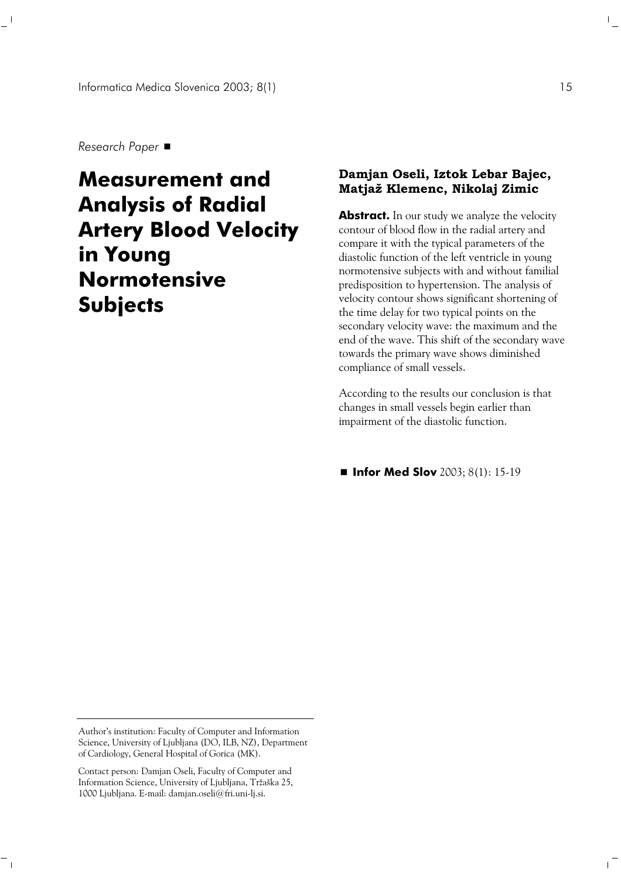*Research Paper* 

 $\overline{\phantom{a}}$ 

 $^{-}$ 

# **Measurement and Analysis of Radial Artery Blood Velocity in Young Normotensive Subjects**

## **Damjan Oseli, Iztok Lebar Bajec, Matjaž Klemenc, Nikolaj Zimic**

**Abstract.** In our study we analyze the velocity contour of blood flow in the radial artery and compare it with the typical parameters of the diastolic function of the left ventricle in young normotensive subjects with and without familial predisposition to hypertension. The analysis of velocity contour shows significant shortening of the time delay for two typical points on the secondary velocity wave: the maximum and the end of the wave. This shift of the secondary wave towards the primary wave shows diminished compliance of small vessels.

According to the results our conclusion is that changes in small vessels begin earlier than impairment of the diastolic function.

■ **Infor Med Slov** 2003; 8(1): 15-19

 $\mathbb{R}^n$ 

 $\mathbf{L}$ 

Author's institution: Faculty of Computer and Information Science, University of Ljubljana (DO, ILB, NZ), Department of Cardiology, General Hospital of Gorica (MK).

Contact person: Damjan Oseli, Faculty of Computer and Information Science, University of Ljubljana, Tržaška 25, 1000 Ljubljana. E-mail: damjan.oseli@fri.uni-lj.si.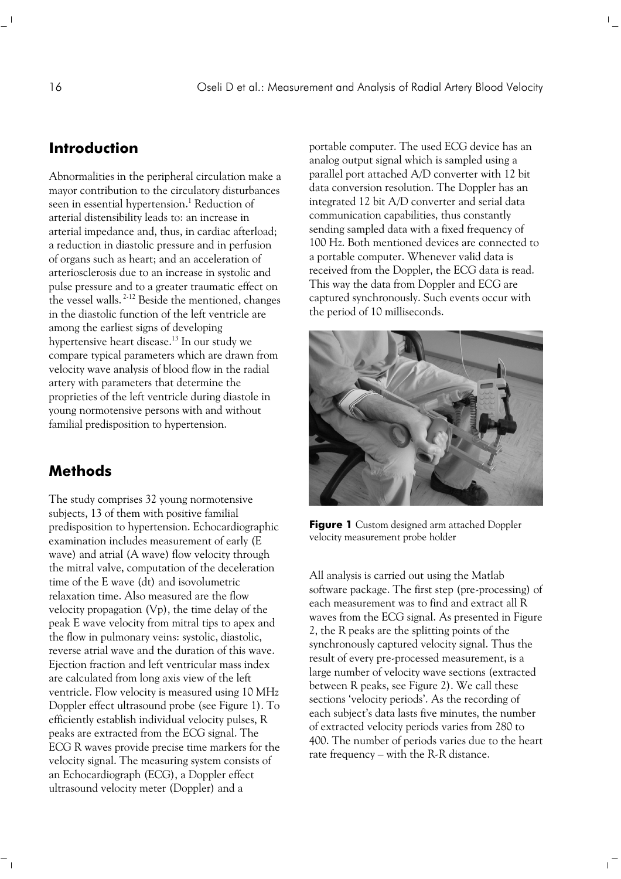# **Introduction**

Abnormalities in the peripheral circulation make a mayor contribution to the circulatory disturbances seen in essential hypertension.<sup>1</sup> Reduction of arterial distensibility leads to: an increase in arterial impedance and, thus, in cardiac afterload; a reduction in diastolic pressure and in perfusion of organs such as heart; and an acceleration of arteriosclerosis due to an increase in systolic and pulse pressure and to a greater traumatic effect on the vessel walls.<sup>2-12</sup> Beside the mentioned, changes in the diastolic function of the left ventricle are among the earliest signs of developing hypertensive heart disease.<sup>13</sup> In our study we compare typical parameters which are drawn from velocity wave analysis of blood flow in the radial artery with parameters that determine the proprieties of the left ventricle during diastole in young normotensive persons with and without familial predisposition to hypertension.

# **Methods**

The study comprises 32 young normotensive subjects, 13 of them with positive familial predisposition to hypertension. Echocardiographic examination includes measurement of early (E wave) and atrial (A wave) flow velocity through the mitral valve, computation of the deceleration time of the E wave (dt) and isovolumetric relaxation time. Also measured are the flow velocity propagation (Vp), the time delay of the peak E wave velocity from mitral tips to apex and the flow in pulmonary veins: systolic, diastolic, reverse atrial wave and the duration of this wave. Ejection fraction and left ventricular mass index are calculated from long axis view of the left ventricle. Flow velocity is measured using 10 MHz Doppler effect ultrasound probe (see Figure 1). To efficiently establish individual velocity pulses, R peaks are extracted from the ECG signal. The ECG R waves provide precise time markers for the velocity signal. The measuring system consists of an Echocardiograph (ECG), a Doppler effect ultrasound velocity meter (Doppler) and a

portable computer. The used ECG device has an analog output signal which is sampled using a parallel port attached A/D converter with 12 bit data conversion resolution. The Doppler has an integrated 12 bit A/D converter and serial data communication capabilities, thus constantly sending sampled data with a fixed frequency of 100 Hz. Both mentioned devices are connected to a portable computer. Whenever valid data is received from the Doppler, the ECG data is read. This way the data from Doppler and ECG are captured synchronously. Such events occur with the period of 10 milliseconds.

 $\mathbb{F}_q$ 



**Figure 1** Custom designed arm attached Doppler velocity measurement probe holder

All analysis is carried out using the Matlab software package. The first step (pre-processing) of each measurement was to find and extract all R waves from the ECG signal. As presented in Figure 2, the R peaks are the splitting points of the synchronously captured velocity signal. Thus the result of every pre-processed measurement, is a large number of velocity wave sections (extracted between R peaks, see Figure 2). We call these sections 'velocity periods'. As the recording of each subject's data lasts five minutes, the number of extracted velocity periods varies from 280 to 400. The number of periods varies due to the heart rate frequency – with the R-R distance.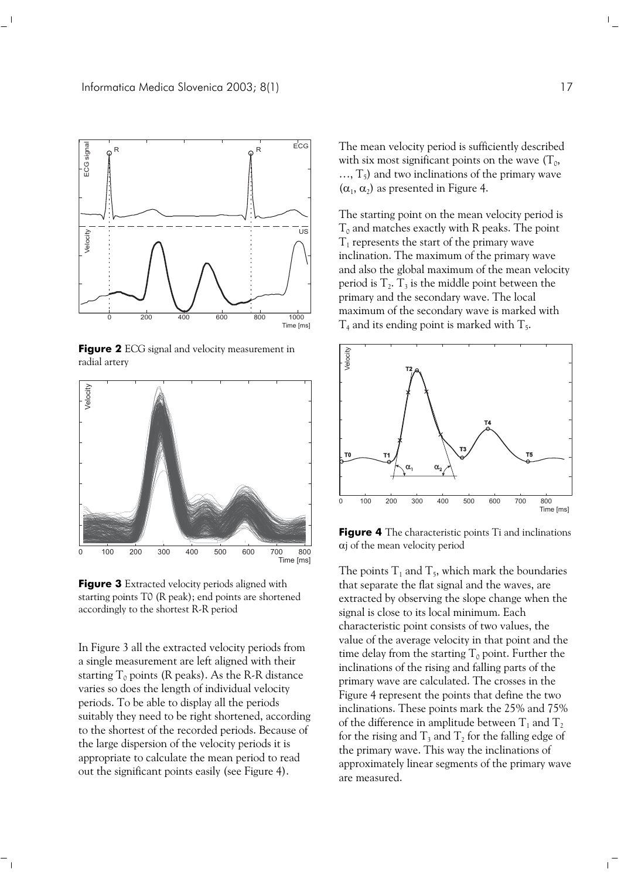

**Figure 2** ECG signal and velocity measurement in radial artery



**Figure 3** Extracted velocity periods aligned with starting points T0 (R peak); end points are shortened accordingly to the shortest R-R period

In Figure 3 all the extracted velocity periods from a single measurement are left aligned with their starting  $T_0$  points (R peaks). As the R-R distance varies so does the length of individual velocity periods. To be able to display all the periods suitably they need to be right shortened, according to the shortest of the recorded periods. Because of the large dispersion of the velocity periods it is appropriate to calculate the mean period to read out the significant points easily (see Figure 4).

 $\sim$  1

The mean velocity period is sufficiently described with six most significant points on the wave  $(T_0,$  $..., T_5$ ) and two inclinations of the primary wave  $(\alpha_1, \alpha_2)$  as presented in Figure 4.

The starting point on the mean velocity period is  $T_0$  and matches exactly with R peaks. The point  $T_1$  represents the start of the primary wave inclination. The maximum of the primary wave and also the global maximum of the mean velocity period is  $T_2$ .  $T_3$  is the middle point between the primary and the secondary wave. The local maximum of the secondary wave is marked with  $T_4$  and its ending point is marked with  $T_5$ .



**Figure 4** The characteristic points Ti and inclinations αj of the mean velocity period

The points  $T_1$  and  $T_5$ , which mark the boundaries that separate the flat signal and the waves, are extracted by observing the slope change when the signal is close to its local minimum. Each characteristic point consists of two values, the value of the average velocity in that point and the time delay from the starting  $T_0$  point. Further the inclinations of the rising and falling parts of the primary wave are calculated. The crosses in the Figure 4 represent the points that define the two inclinations. These points mark the 25% and 75% of the difference in amplitude between  $T_1$  and  $T_2$ for the rising and  $T_3$  and  $T_2$  for the falling edge of the primary wave. This way the inclinations of approximately linear segments of the primary wave are measured.

 $\mathbb{L}$ 

 $\overline{1}$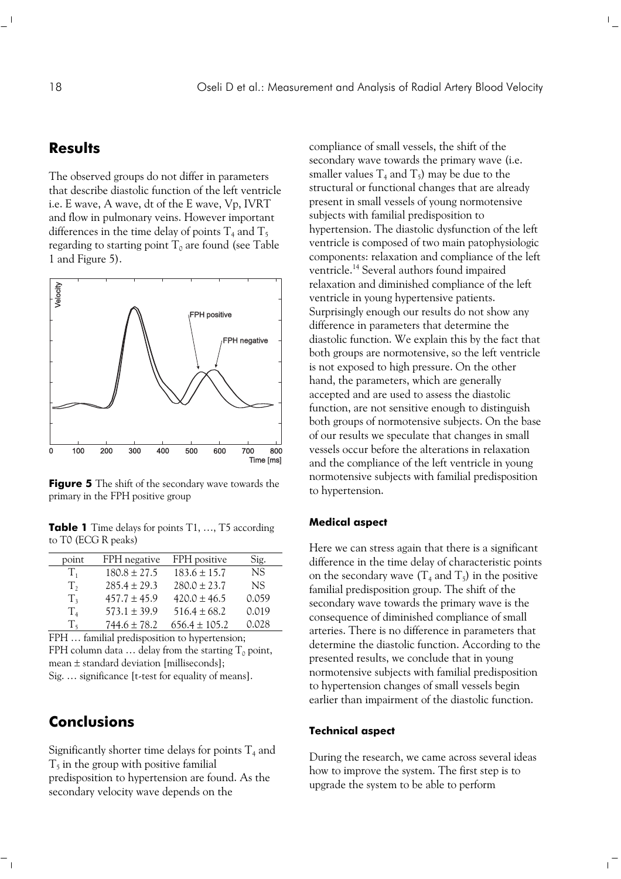## **Results**

The observed groups do not differ in parameters that describe diastolic function of the left ventricle i.e. E wave, A wave, dt of the E wave, Vp, IVRT and flow in pulmonary veins. However important differences in the time delay of points  $T_4$  and  $T_5$ regarding to starting point  $T_0$  are found (see Table 1 and Figure 5).



**Figure 5** The shift of the secondary wave towards the primary in the FPH positive group

**Table 1** Time delays for points T1, ..., T5 according to T0 (ECG R peaks)

| point          | FPH negative     | FPH positive      | Sig.      |
|----------------|------------------|-------------------|-----------|
| $T_{1}$        | $180.8 \pm 27.5$ | $183.6 \pm 15.7$  | NS.       |
| $T_{2}$        | $285.4 \pm 29.3$ | $280.0 \pm 23.7$  | <b>NS</b> |
| T <sub>2</sub> | $457.7 \pm 45.9$ | $420.0 \pm 46.5$  | 0.059     |
| T <sub>4</sub> | $573.1 \pm 39.9$ | $516.4 \pm 68.2$  | 0.019     |
| T,             | $744.6 \pm 78.2$ | $656.4 \pm 105.2$ | 0.028     |
|                |                  |                   |           |

FPH ... familial predisposition to hypertension; FPH column data  $\ldots$  delay from the starting  $T_0$  point, mean ± standard deviation [milliseconds]; Sig. … significance [t-test for equality of means].

## **Conclusions**

Significantly shorter time delays for points  $T_4$  and  $T<sub>5</sub>$  in the group with positive familial predisposition to hypertension are found. As the secondary velocity wave depends on the

compliance of small vessels, the shift of the secondary wave towards the primary wave (i.e. smaller values  $T_4$  and  $T_5$ ) may be due to the structural or functional changes that are already present in small vessels of young normotensive subjects with familial predisposition to hypertension. The diastolic dysfunction of the left ventricle is composed of two main patophysiologic components: relaxation and compliance of the left ventricle.<sup>14</sup> Several authors found impaired relaxation and diminished compliance of the left ventricle in young hypertensive patients. Surprisingly enough our results do not show any difference in parameters that determine the diastolic function. We explain this by the fact that both groups are normotensive, so the left ventricle is not exposed to high pressure. On the other hand, the parameters, which are generally accepted and are used to assess the diastolic function, are not sensitive enough to distinguish both groups of normotensive subjects. On the base of our results we speculate that changes in small vessels occur before the alterations in relaxation and the compliance of the left ventricle in young normotensive subjects with familial predisposition to hypertension.

 $\mathbb{F}_2$ 

### **Medical aspect**

Here we can stress again that there is a significant difference in the time delay of characteristic points on the secondary wave  $(T_4$  and  $T_5$ ) in the positive familial predisposition group. The shift of the secondary wave towards the primary wave is the consequence of diminished compliance of small arteries. There is no difference in parameters that determine the diastolic function. According to the presented results, we conclude that in young normotensive subjects with familial predisposition to hypertension changes of small vessels begin earlier than impairment of the diastolic function.

#### **Technical aspect**

During the research, we came across several ideas how to improve the system. The first step is to upgrade the system to be able to perform